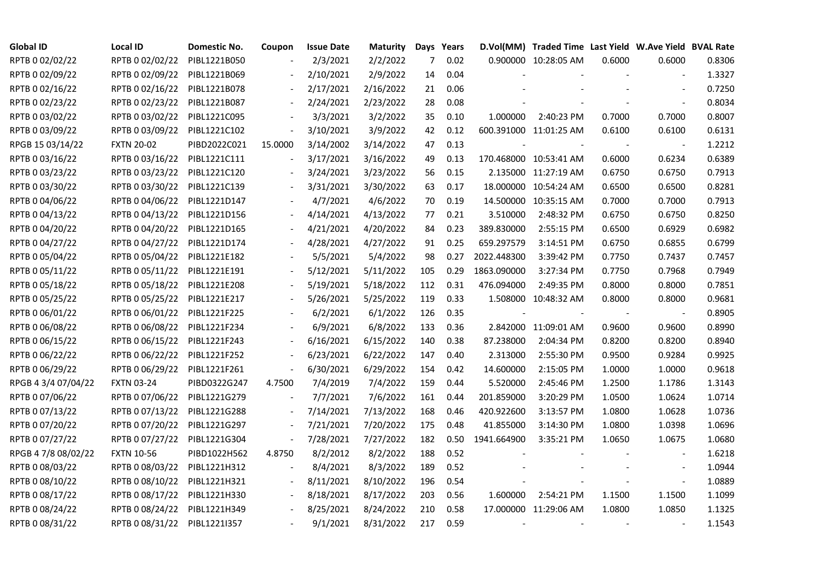| <b>Global ID</b>    | <b>Local ID</b>              | Domestic No. | Coupon                   | <b>Issue Date</b> | <b>Maturity</b> |     | Days Years |             | D.Vol(MM) Traded Time Last Yield W.Ave Yield BVAL Rate |        |                |        |
|---------------------|------------------------------|--------------|--------------------------|-------------------|-----------------|-----|------------|-------------|--------------------------------------------------------|--------|----------------|--------|
| RPTB 0 02/02/22     | RPTB 0 02/02/22              | PIBL1221B050 |                          | 2/3/2021          | 2/2/2022        | 7   | 0.02       |             | 0.900000 10:28:05 AM                                   | 0.6000 | 0.6000         | 0.8306 |
| RPTB 0 02/09/22     | RPTB 0 02/09/22              | PIBL1221B069 |                          | 2/10/2021         | 2/9/2022        | 14  | 0.04       |             |                                                        |        |                | 1.3327 |
| RPTB 0 02/16/22     | RPTB 0 02/16/22              | PIBL1221B078 |                          | 2/17/2021         | 2/16/2022       | 21  | 0.06       |             |                                                        |        | $\blacksquare$ | 0.7250 |
| RPTB 0 02/23/22     | RPTB 0 02/23/22              | PIBL1221B087 | $\blacksquare$           | 2/24/2021         | 2/23/2022       | 28  | 0.08       |             |                                                        |        | $\blacksquare$ | 0.8034 |
| RPTB 0 03/02/22     | RPTB 0 03/02/22              | PIBL1221C095 |                          | 3/3/2021          | 3/2/2022        | 35  | 0.10       | 1.000000    | 2:40:23 PM                                             | 0.7000 | 0.7000         | 0.8007 |
| RPTB 0 03/09/22     | RPTB 0 03/09/22              | PIBL1221C102 |                          | 3/10/2021         | 3/9/2022        | 42  | 0.12       |             | 600.391000 11:01:25 AM                                 | 0.6100 | 0.6100         | 0.6131 |
| RPGB 15 03/14/22    | <b>FXTN 20-02</b>            | PIBD2022C021 | 15.0000                  | 3/14/2002         | 3/14/2022       | 47  | 0.13       |             |                                                        |        | $\sim$         | 1.2212 |
| RPTB 0 03/16/22     | RPTB 0 03/16/22              | PIBL1221C111 |                          | 3/17/2021         | 3/16/2022       | 49  | 0.13       |             | 170.468000 10:53:41 AM                                 | 0.6000 | 0.6234         | 0.6389 |
| RPTB 0 03/23/22     | RPTB 0 03/23/22              | PIBL1221C120 |                          | 3/24/2021         | 3/23/2022       | 56  | 0.15       |             | 2.135000 11:27:19 AM                                   | 0.6750 | 0.6750         | 0.7913 |
| RPTB 0 03/30/22     | RPTB 0 03/30/22              | PIBL1221C139 |                          | 3/31/2021         | 3/30/2022       | 63  | 0.17       |             | 18.000000 10:54:24 AM                                  | 0.6500 | 0.6500         | 0.8281 |
| RPTB 0 04/06/22     | RPTB 0 04/06/22              | PIBL1221D147 |                          | 4/7/2021          | 4/6/2022        | 70  | 0.19       |             | 14.500000 10:35:15 AM                                  | 0.7000 | 0.7000         | 0.7913 |
| RPTB 0 04/13/22     | RPTB 0 04/13/22              | PIBL1221D156 |                          | 4/14/2021         | 4/13/2022       | 77  | 0.21       | 3.510000    | 2:48:32 PM                                             | 0.6750 | 0.6750         | 0.8250 |
| RPTB 0 04/20/22     | RPTB 0 04/20/22              | PIBL1221D165 |                          | 4/21/2021         | 4/20/2022       | 84  | 0.23       | 389.830000  | 2:55:15 PM                                             | 0.6500 | 0.6929         | 0.6982 |
| RPTB 0 04/27/22     | RPTB 0 04/27/22              | PIBL1221D174 |                          | 4/28/2021         | 4/27/2022       | 91  | 0.25       | 659.297579  | 3:14:51 PM                                             | 0.6750 | 0.6855         | 0.6799 |
| RPTB 0 05/04/22     | RPTB 0 05/04/22              | PIBL1221E182 |                          | 5/5/2021          | 5/4/2022        | 98  | 0.27       | 2022.448300 | 3:39:42 PM                                             | 0.7750 | 0.7437         | 0.7457 |
| RPTB 0 05/11/22     | RPTB 0 05/11/22              | PIBL1221E191 |                          | 5/12/2021         | 5/11/2022       | 105 | 0.29       | 1863.090000 | 3:27:34 PM                                             | 0.7750 | 0.7968         | 0.7949 |
| RPTB 0 05/18/22     | RPTB 0 05/18/22              | PIBL1221E208 |                          | 5/19/2021         | 5/18/2022       | 112 | 0.31       | 476.094000  | 2:49:35 PM                                             | 0.8000 | 0.8000         | 0.7851 |
| RPTB 0 05/25/22     | RPTB 0 05/25/22              | PIBL1221E217 |                          | 5/26/2021         | 5/25/2022       | 119 | 0.33       |             | 1.508000 10:48:32 AM                                   | 0.8000 | 0.8000         | 0.9681 |
| RPTB 0 06/01/22     | RPTB 0 06/01/22              | PIBL1221F225 |                          | 6/2/2021          | 6/1/2022        | 126 | 0.35       |             |                                                        |        | $\blacksquare$ | 0.8905 |
| RPTB 0 06/08/22     | RPTB 0 06/08/22              | PIBL1221F234 |                          | 6/9/2021          | 6/8/2022        | 133 | 0.36       |             | 2.842000 11:09:01 AM                                   | 0.9600 | 0.9600         | 0.8990 |
| RPTB 0 06/15/22     | RPTB 0 06/15/22              | PIBL1221F243 |                          | 6/16/2021         | 6/15/2022       | 140 | 0.38       | 87.238000   | 2:04:34 PM                                             | 0.8200 | 0.8200         | 0.8940 |
| RPTB 0 06/22/22     | RPTB 0 06/22/22              | PIBL1221F252 |                          | 6/23/2021         | 6/22/2022       | 147 | 0.40       | 2.313000    | 2:55:30 PM                                             | 0.9500 | 0.9284         | 0.9925 |
| RPTB 0 06/29/22     | RPTB 0 06/29/22              | PIBL1221F261 | $\frac{1}{2}$            | 6/30/2021         | 6/29/2022       | 154 | 0.42       | 14.600000   | 2:15:05 PM                                             | 1.0000 | 1.0000         | 0.9618 |
| RPGB 4 3/4 07/04/22 | <b>FXTN 03-24</b>            | PIBD0322G247 | 4.7500                   | 7/4/2019          | 7/4/2022        | 159 | 0.44       | 5.520000    | 2:45:46 PM                                             | 1.2500 | 1.1786         | 1.3143 |
| RPTB 0 07/06/22     | RPTB 0 07/06/22              | PIBL1221G279 | $\overline{\phantom{a}}$ | 7/7/2021          | 7/6/2022        | 161 | 0.44       | 201.859000  | 3:20:29 PM                                             | 1.0500 | 1.0624         | 1.0714 |
| RPTB 0 07/13/22     | RPTB 0 07/13/22              | PIBL1221G288 |                          | 7/14/2021         | 7/13/2022       | 168 | 0.46       | 420.922600  | 3:13:57 PM                                             | 1.0800 | 1.0628         | 1.0736 |
| RPTB 0 07/20/22     | RPTB 0 07/20/22              | PIBL1221G297 |                          | 7/21/2021         | 7/20/2022       | 175 | 0.48       | 41.855000   | 3:14:30 PM                                             | 1.0800 | 1.0398         | 1.0696 |
| RPTB 0 07/27/22     | RPTB 0 07/27/22              | PIBL1221G304 | $\blacksquare$           | 7/28/2021         | 7/27/2022       | 182 | 0.50       | 1941.664900 | 3:35:21 PM                                             | 1.0650 | 1.0675         | 1.0680 |
| RPGB 4 7/8 08/02/22 | <b>FXTN 10-56</b>            | PIBD1022H562 | 4.8750                   | 8/2/2012          | 8/2/2022        | 188 | 0.52       |             |                                                        |        |                | 1.6218 |
| RPTB 0 08/03/22     | RPTB 0 08/03/22              | PIBL1221H312 |                          | 8/4/2021          | 8/3/2022        | 189 | 0.52       |             |                                                        |        |                | 1.0944 |
| RPTB 0 08/10/22     | RPTB 0 08/10/22              | PIBL1221H321 |                          | 8/11/2021         | 8/10/2022       | 196 | 0.54       |             |                                                        |        | $\blacksquare$ | 1.0889 |
| RPTB 0 08/17/22     | RPTB 0 08/17/22              | PIBL1221H330 |                          | 8/18/2021         | 8/17/2022       | 203 | 0.56       | 1.600000    | 2:54:21 PM                                             | 1.1500 | 1.1500         | 1.1099 |
| RPTB 0 08/24/22     | RPTB 0 08/24/22              | PIBL1221H349 |                          | 8/25/2021         | 8/24/2022       | 210 | 0.58       |             | 17.000000 11:29:06 AM                                  | 1.0800 | 1.0850         | 1.1325 |
| RPTB 0 08/31/22     | RPTB 0 08/31/22 PIBL1221I357 |              |                          | 9/1/2021          | 8/31/2022       | 217 | 0.59       |             |                                                        |        |                | 1.1543 |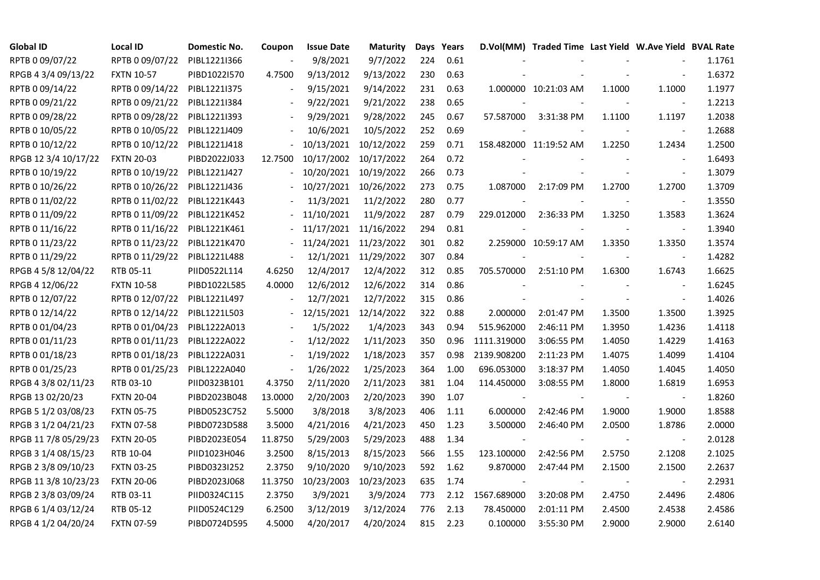| <b>Global ID</b>     | <b>Local ID</b>   | Domestic No. | Coupon                   | <b>Issue Date</b>     | <b>Maturity</b>      |     | Days Years |             | D.Vol(MM) Traded Time Last Yield W.Ave Yield BVAL Rate |        |                          |        |
|----------------------|-------------------|--------------|--------------------------|-----------------------|----------------------|-----|------------|-------------|--------------------------------------------------------|--------|--------------------------|--------|
| RPTB 0 09/07/22      | RPTB 0 09/07/22   | PIBL1221I366 |                          | 9/8/2021              | 9/7/2022             | 224 | 0.61       |             |                                                        |        |                          | 1.1761 |
| RPGB 4 3/4 09/13/22  | <b>FXTN 10-57</b> | PIBD1022I570 | 4.7500                   | 9/13/2012             | 9/13/2022            | 230 | 0.63       |             |                                                        |        |                          | 1.6372 |
| RPTB 0 09/14/22      | RPTB 0 09/14/22   | PIBL1221I375 | $\overline{\phantom{a}}$ | 9/15/2021             | 9/14/2022            | 231 | 0.63       |             | 1.000000 10:21:03 AM                                   | 1.1000 | 1.1000                   | 1.1977 |
| RPTB 0 09/21/22      | RPTB 0 09/21/22   | PIBL1221I384 | $\blacksquare$           | 9/22/2021             | 9/21/2022            | 238 | 0.65       |             |                                                        |        |                          | 1.2213 |
| RPTB 0 09/28/22      | RPTB 0 09/28/22   | PIBL12211393 | $\overline{\phantom{a}}$ | 9/29/2021             | 9/28/2022            | 245 | 0.67       | 57.587000   | 3:31:38 PM                                             | 1.1100 | 1.1197                   | 1.2038 |
| RPTB 0 10/05/22      | RPTB 0 10/05/22   | PIBL1221J409 |                          | 10/6/2021             | 10/5/2022            | 252 | 0.69       |             |                                                        |        |                          | 1.2688 |
| RPTB 0 10/12/22      | RPTB 0 10/12/22   | PIBL1221J418 |                          | 10/13/2021            | 10/12/2022           | 259 | 0.71       |             | 158.482000 11:19:52 AM                                 | 1.2250 | 1.2434                   | 1.2500 |
| RPGB 12 3/4 10/17/22 | <b>FXTN 20-03</b> | PIBD2022J033 | 12.7500                  | 10/17/2002            | 10/17/2022           | 264 | 0.72       |             |                                                        |        | $\blacksquare$           | 1.6493 |
| RPTB 0 10/19/22      | RPTB 0 10/19/22   | PIBL1221J427 |                          | 10/20/2021            | 10/19/2022           | 266 | 0.73       |             |                                                        |        |                          | 1.3079 |
| RPTB 0 10/26/22      | RPTB 0 10/26/22   | PIBL1221J436 |                          | 10/27/2021            | 10/26/2022           | 273 | 0.75       | 1.087000    | 2:17:09 PM                                             | 1.2700 | 1.2700                   | 1.3709 |
| RPTB 0 11/02/22      | RPTB 0 11/02/22   | PIBL1221K443 |                          | 11/3/2021             | 11/2/2022            | 280 | 0.77       |             |                                                        |        | $\blacksquare$           | 1.3550 |
| RPTB 0 11/09/22      | RPTB 0 11/09/22   | PIBL1221K452 |                          | 11/10/2021            | 11/9/2022            | 287 | 0.79       | 229.012000  | 2:36:33 PM                                             | 1.3250 | 1.3583                   | 1.3624 |
| RPTB 0 11/16/22      | RPTB 0 11/16/22   | PIBL1221K461 |                          | 11/17/2021 11/16/2022 |                      | 294 | 0.81       |             |                                                        |        | $\overline{\phantom{a}}$ | 1.3940 |
| RPTB 0 11/23/22      | RPTB 0 11/23/22   | PIBL1221K470 |                          | 11/24/2021            | 11/23/2022           | 301 | 0.82       |             | 2.259000 10:59:17 AM                                   | 1.3350 | 1.3350                   | 1.3574 |
| RPTB 0 11/29/22      | RPTB 0 11/29/22   | PIBL1221L488 |                          |                       | 12/1/2021 11/29/2022 | 307 | 0.84       |             |                                                        |        | $\overline{\phantom{a}}$ | 1.4282 |
| RPGB 4 5/8 12/04/22  | RTB 05-11         | PIID0522L114 | 4.6250                   | 12/4/2017             | 12/4/2022            | 312 | 0.85       | 705.570000  | 2:51:10 PM                                             | 1.6300 | 1.6743                   | 1.6625 |
| RPGB 4 12/06/22      | <b>FXTN 10-58</b> | PIBD1022L585 | 4.0000                   | 12/6/2012             | 12/6/2022            | 314 | 0.86       |             |                                                        |        |                          | 1.6245 |
| RPTB 0 12/07/22      | RPTB 0 12/07/22   | PIBL1221L497 | $\blacksquare$           | 12/7/2021             | 12/7/2022            | 315 | 0.86       |             |                                                        |        | $\overline{\phantom{a}}$ | 1.4026 |
| RPTB 0 12/14/22      | RPTB 0 12/14/22   | PIBL1221L503 |                          | 12/15/2021            | 12/14/2022           | 322 | 0.88       | 2.000000    | 2:01:47 PM                                             | 1.3500 | 1.3500                   | 1.3925 |
| RPTB 0 01/04/23      | RPTB 0 01/04/23   | PIBL1222A013 |                          | 1/5/2022              | 1/4/2023             | 343 | 0.94       | 515.962000  | 2:46:11 PM                                             | 1.3950 | 1.4236                   | 1.4118 |
| RPTB 0 01/11/23      | RPTB 0 01/11/23   | PIBL1222A022 | $\blacksquare$           | 1/12/2022             | 1/11/2023            | 350 | 0.96       | 1111.319000 | 3:06:55 PM                                             | 1.4050 | 1.4229                   | 1.4163 |
| RPTB 0 01/18/23      | RPTB 0 01/18/23   | PIBL1222A031 |                          | 1/19/2022             | 1/18/2023            | 357 | 0.98       | 2139.908200 | 2:11:23 PM                                             | 1.4075 | 1.4099                   | 1.4104 |
| RPTB 0 01/25/23      | RPTB 0 01/25/23   | PIBL1222A040 |                          | 1/26/2022             | 1/25/2023            | 364 | 1.00       | 696.053000  | 3:18:37 PM                                             | 1.4050 | 1.4045                   | 1.4050 |
| RPGB 4 3/8 02/11/23  | RTB 03-10         | PIID0323B101 | 4.3750                   | 2/11/2020             | 2/11/2023            | 381 | 1.04       | 114.450000  | 3:08:55 PM                                             | 1.8000 | 1.6819                   | 1.6953 |
| RPGB 13 02/20/23     | <b>FXTN 20-04</b> | PIBD2023B048 | 13.0000                  | 2/20/2003             | 2/20/2023            | 390 | 1.07       |             |                                                        |        |                          | 1.8260 |
| RPGB 5 1/2 03/08/23  | <b>FXTN 05-75</b> | PIBD0523C752 | 5.5000                   | 3/8/2018              | 3/8/2023             | 406 | 1.11       | 6.000000    | 2:42:46 PM                                             | 1.9000 | 1.9000                   | 1.8588 |
| RPGB 3 1/2 04/21/23  | <b>FXTN 07-58</b> | PIBD0723D588 | 3.5000                   | 4/21/2016             | 4/21/2023            | 450 | 1.23       | 3.500000    | 2:46:40 PM                                             | 2.0500 | 1.8786                   | 2.0000 |
| RPGB 11 7/8 05/29/23 | <b>FXTN 20-05</b> | PIBD2023E054 | 11.8750                  | 5/29/2003             | 5/29/2023            | 488 | 1.34       |             |                                                        |        | $\blacksquare$           | 2.0128 |
| RPGB 3 1/4 08/15/23  | RTB 10-04         | PIID1023H046 | 3.2500                   | 8/15/2013             | 8/15/2023            | 566 | 1.55       | 123.100000  | 2:42:56 PM                                             | 2.5750 | 2.1208                   | 2.1025 |
| RPGB 2 3/8 09/10/23  | <b>FXTN 03-25</b> | PIBD0323I252 | 2.3750                   | 9/10/2020             | 9/10/2023            | 592 | 1.62       | 9.870000    | 2:47:44 PM                                             | 2.1500 | 2.1500                   | 2.2637 |
| RPGB 11 3/8 10/23/23 | <b>FXTN 20-06</b> | PIBD2023J068 | 11.3750                  | 10/23/2003            | 10/23/2023           | 635 | 1.74       |             |                                                        |        |                          | 2.2931 |
| RPGB 2 3/8 03/09/24  | RTB 03-11         | PIID0324C115 | 2.3750                   | 3/9/2021              | 3/9/2024             | 773 | 2.12       | 1567.689000 | 3:20:08 PM                                             | 2.4750 | 2.4496                   | 2.4806 |
| RPGB 6 1/4 03/12/24  | RTB 05-12         | PIID0524C129 | 6.2500                   | 3/12/2019             | 3/12/2024            | 776 | 2.13       | 78.450000   | 2:01:11 PM                                             | 2.4500 | 2.4538                   | 2.4586 |
| RPGB 4 1/2 04/20/24  | <b>FXTN 07-59</b> | PIBD0724D595 | 4.5000                   | 4/20/2017             | 4/20/2024            | 815 | 2.23       | 0.100000    | 3:55:30 PM                                             | 2.9000 | 2.9000                   | 2.6140 |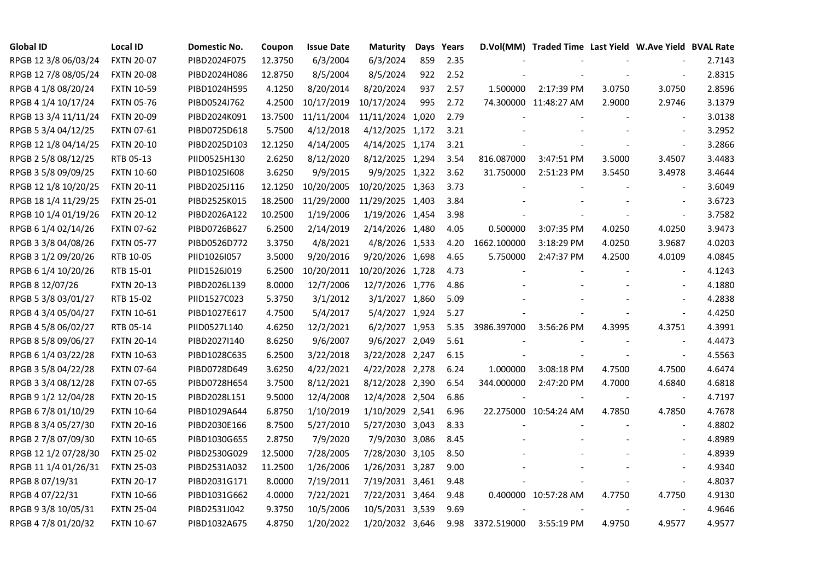| <b>Global ID</b>     | <b>Local ID</b>   | Domestic No. | Coupon  | <b>Issue Date</b> | Maturity         |     | Days Years |             | D.Vol(MM) Traded Time Last Yield W.Ave Yield BVAL Rate |        |                          |        |
|----------------------|-------------------|--------------|---------|-------------------|------------------|-----|------------|-------------|--------------------------------------------------------|--------|--------------------------|--------|
| RPGB 12 3/8 06/03/24 | <b>FXTN 20-07</b> | PIBD2024F075 | 12.3750 | 6/3/2004          | 6/3/2024         | 859 | 2.35       |             |                                                        |        |                          | 2.7143 |
| RPGB 12 7/8 08/05/24 | <b>FXTN 20-08</b> | PIBD2024H086 | 12.8750 | 8/5/2004          | 8/5/2024         | 922 | 2.52       |             |                                                        |        |                          | 2.8315 |
| RPGB 4 1/8 08/20/24  | <b>FXTN 10-59</b> | PIBD1024H595 | 4.1250  | 8/20/2014         | 8/20/2024        | 937 | 2.57       | 1.500000    | 2:17:39 PM                                             | 3.0750 | 3.0750                   | 2.8596 |
| RPGB 4 1/4 10/17/24  | <b>FXTN 05-76</b> | PIBD0524J762 | 4.2500  | 10/17/2019        | 10/17/2024       | 995 | 2.72       |             | 74.300000 11:48:27 AM                                  | 2.9000 | 2.9746                   | 3.1379 |
| RPGB 13 3/4 11/11/24 | <b>FXTN 20-09</b> | PIBD2024K091 | 13.7500 | 11/11/2004        | 11/11/2024 1,020 |     | 2.79       |             |                                                        |        | $\overline{\phantom{a}}$ | 3.0138 |
| RPGB 5 3/4 04/12/25  | <b>FXTN 07-61</b> | PIBD0725D618 | 5.7500  | 4/12/2018         | 4/12/2025 1,172  |     | 3.21       |             |                                                        |        | $\blacksquare$           | 3.2952 |
| RPGB 12 1/8 04/14/25 | <b>FXTN 20-10</b> | PIBD2025D103 | 12.1250 | 4/14/2005         | 4/14/2025 1,174  |     | 3.21       |             |                                                        |        | $\blacksquare$           | 3.2866 |
| RPGB 2 5/8 08/12/25  | RTB 05-13         | PIID0525H130 | 2.6250  | 8/12/2020         | 8/12/2025 1,294  |     | 3.54       | 816.087000  | 3:47:51 PM                                             | 3.5000 | 3.4507                   | 3.4483 |
| RPGB 3 5/8 09/09/25  | <b>FXTN 10-60</b> | PIBD10251608 | 3.6250  | 9/9/2015          | 9/9/2025 1,322   |     | 3.62       | 31.750000   | 2:51:23 PM                                             | 3.5450 | 3.4978                   | 3.4644 |
| RPGB 12 1/8 10/20/25 | <b>FXTN 20-11</b> | PIBD2025J116 | 12.1250 | 10/20/2005        | 10/20/2025 1,363 |     | 3.73       |             |                                                        |        |                          | 3.6049 |
| RPGB 18 1/4 11/29/25 | <b>FXTN 25-01</b> | PIBD2525K015 | 18.2500 | 11/29/2000        | 11/29/2025 1,403 |     | 3.84       |             |                                                        |        | $\overline{\phantom{a}}$ | 3.6723 |
| RPGB 10 1/4 01/19/26 | <b>FXTN 20-12</b> | PIBD2026A122 | 10.2500 | 1/19/2006         | 1/19/2026 1,454  |     | 3.98       |             |                                                        |        | $\blacksquare$           | 3.7582 |
| RPGB 6 1/4 02/14/26  | <b>FXTN 07-62</b> | PIBD0726B627 | 6.2500  | 2/14/2019         | 2/14/2026 1,480  |     | 4.05       | 0.500000    | 3:07:35 PM                                             | 4.0250 | 4.0250                   | 3.9473 |
| RPGB 3 3/8 04/08/26  | <b>FXTN 05-77</b> | PIBD0526D772 | 3.3750  | 4/8/2021          | 4/8/2026 1,533   |     | 4.20       | 1662.100000 | 3:18:29 PM                                             | 4.0250 | 3.9687                   | 4.0203 |
| RPGB 3 1/2 09/20/26  | RTB 10-05         | PIID1026I057 | 3.5000  | 9/20/2016         | 9/20/2026 1,698  |     | 4.65       | 5.750000    | 2:47:37 PM                                             | 4.2500 | 4.0109                   | 4.0845 |
| RPGB 6 1/4 10/20/26  | RTB 15-01         | PIID1526J019 | 6.2500  | 10/20/2011        | 10/20/2026 1,728 |     | 4.73       |             |                                                        |        |                          | 4.1243 |
| RPGB 8 12/07/26      | <b>FXTN 20-13</b> | PIBD2026L139 | 8.0000  | 12/7/2006         | 12/7/2026 1,776  |     | 4.86       |             |                                                        |        | $\overline{a}$           | 4.1880 |
| RPGB 5 3/8 03/01/27  | RTB 15-02         | PIID1527C023 | 5.3750  | 3/1/2012          | 3/1/2027 1,860   |     | 5.09       |             |                                                        |        | $\blacksquare$           | 4.2838 |
| RPGB 4 3/4 05/04/27  | FXTN 10-61        | PIBD1027E617 | 4.7500  | 5/4/2017          | 5/4/2027 1,924   |     | 5.27       |             |                                                        |        | $\sim$                   | 4.4250 |
| RPGB 4 5/8 06/02/27  | RTB 05-14         | PIID0527L140 | 4.6250  | 12/2/2021         | 6/2/2027 1,953   |     | 5.35       | 3986.397000 | 3:56:26 PM                                             | 4.3995 | 4.3751                   | 4.3991 |
| RPGB 8 5/8 09/06/27  | <b>FXTN 20-14</b> | PIBD2027I140 | 8.6250  | 9/6/2007          | 9/6/2027 2,049   |     | 5.61       |             |                                                        |        | $\blacksquare$           | 4.4473 |
| RPGB 6 1/4 03/22/28  | <b>FXTN 10-63</b> | PIBD1028C635 | 6.2500  | 3/22/2018         | 3/22/2028 2,247  |     | 6.15       |             |                                                        |        | $\overline{\phantom{a}}$ | 4.5563 |
| RPGB 3 5/8 04/22/28  | <b>FXTN 07-64</b> | PIBD0728D649 | 3.6250  | 4/22/2021         | 4/22/2028 2,278  |     | 6.24       | 1.000000    | 3:08:18 PM                                             | 4.7500 | 4.7500                   | 4.6474 |
| RPGB 3 3/4 08/12/28  | <b>FXTN 07-65</b> | PIBD0728H654 | 3.7500  | 8/12/2021         | 8/12/2028 2,390  |     | 6.54       | 344.000000  | 2:47:20 PM                                             | 4.7000 | 4.6840                   | 4.6818 |
| RPGB 9 1/2 12/04/28  | <b>FXTN 20-15</b> | PIBD2028L151 | 9.5000  | 12/4/2008         | 12/4/2028 2,504  |     | 6.86       |             |                                                        |        | $\overline{\phantom{a}}$ | 4.7197 |
| RPGB 67/8 01/10/29   | <b>FXTN 10-64</b> | PIBD1029A644 | 6.8750  | 1/10/2019         | 1/10/2029 2,541  |     | 6.96       |             | 22.275000 10:54:24 AM                                  | 4.7850 | 4.7850                   | 4.7678 |
| RPGB 8 3/4 05/27/30  | <b>FXTN 20-16</b> | PIBD2030E166 | 8.7500  | 5/27/2010         | 5/27/2030 3,043  |     | 8.33       |             |                                                        |        | $\blacksquare$           | 4.8802 |
| RPGB 2 7/8 07/09/30  | <b>FXTN 10-65</b> | PIBD1030G655 | 2.8750  | 7/9/2020          | 7/9/2030 3,086   |     | 8.45       |             |                                                        |        | $\sim$                   | 4.8989 |
| RPGB 12 1/2 07/28/30 | <b>FXTN 25-02</b> | PIBD2530G029 | 12.5000 | 7/28/2005         | 7/28/2030 3,105  |     | 8.50       |             |                                                        |        |                          | 4.8939 |
| RPGB 11 1/4 01/26/31 | <b>FXTN 25-03</b> | PIBD2531A032 | 11.2500 | 1/26/2006         | 1/26/2031 3,287  |     | 9.00       |             |                                                        |        |                          | 4.9340 |
| RPGB 8 07/19/31      | <b>FXTN 20-17</b> | PIBD2031G171 | 8.0000  | 7/19/2011         | 7/19/2031 3,461  |     | 9.48       |             |                                                        |        | $\blacksquare$           | 4.8037 |
| RPGB 4 07/22/31      | <b>FXTN 10-66</b> | PIBD1031G662 | 4.0000  | 7/22/2021         | 7/22/2031 3,464  |     | 9.48       |             | 0.400000 10:57:28 AM                                   | 4.7750 | 4.7750                   | 4.9130 |
| RPGB 9 3/8 10/05/31  | <b>FXTN 25-04</b> | PIBD2531J042 | 9.3750  | 10/5/2006         | 10/5/2031 3,539  |     | 9.69       |             |                                                        |        | $\blacksquare$           | 4.9646 |
| RPGB 4 7/8 01/20/32  | <b>FXTN 10-67</b> | PIBD1032A675 | 4.8750  | 1/20/2022         | 1/20/2032 3,646  |     | 9.98       | 3372.519000 | 3:55:19 PM                                             | 4.9750 | 4.9577                   | 4.9577 |